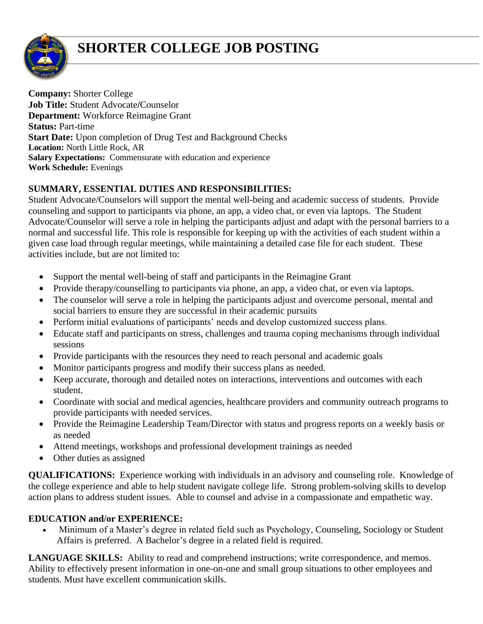

## **SHORTER COLLEGE JOB POSTING**

**Company:** Shorter College **Job Title:** Student Advocate**/**Counselor **Department:** Workforce Reimagine Grant **Status:** Part-time **Start Date:** Upon completion of Drug Test and Background Checks **Location:** North Little Rock, AR **Salary Expectations:** Commensurate with education and experience **Work Schedule:** Evenings

## **SUMMARY, ESSENTIAL DUTIES AND RESPONSIBILITIES:**

Student Advocate/Counselors will support the mental well-being and academic success of students. Provide counseling and support to participants via phone, an app, a video chat, or even via laptops. The Student Advocate/Counselor will serve a role in helping the participants adjust and adapt with the personal barriers to a normal and successful life. This role is responsible for keeping up with the activities of each student within a given case load through regular meetings, while maintaining a detailed case file for each student. These activities include, but are not limited to:

- Support the mental well-being of staff and participants in the Reimagine Grant
- Provide therapy/counselling to participants via phone, an app, a video chat, or even via laptops.
- The counselor will serve a role in helping the participants adjust and overcome personal, mental and social barriers to ensure they are successful in their academic pursuits
- Perform initial evaluations of participants' needs and develop customized success plans.
- Educate staff and participants on stress, challenges and trauma coping mechanisms through individual sessions
- Provide participants with the resources they need to reach personal and academic goals
- Monitor participants progress and modify their success plans as needed.
- Keep accurate, thorough and detailed notes on interactions, interventions and outcomes with each student.
- Coordinate with social and medical agencies, healthcare providers and community outreach programs to provide participants with needed services.
- Provide the Reimagine Leadership Team/Director with status and progress reports on a weekly basis or as needed
- Attend meetings, workshops and professional development trainings as needed
- Other duties as assigned

**QUALIFICATIONS:** Experience working with individuals in an advisory and counseling role. Knowledge of the college experience and able to help student navigate college life. Strong problem-solving skills to develop action plans to address student issues. Able to counsel and advise in a compassionate and empathetic way.

## **EDUCATION and/or EXPERIENCE:**

• Minimum of a Master's degree in related field such as Psychology, Counseling, Sociology or Student Affairs is preferred. A Bachelor's degree in a related field is required.

LANGUAGE SKILLS: Ability to read and comprehend instructions; write correspondence, and memos. Ability to effectively present information in one-on-one and small group situations to other employees and students. Must have excellent communication skills.